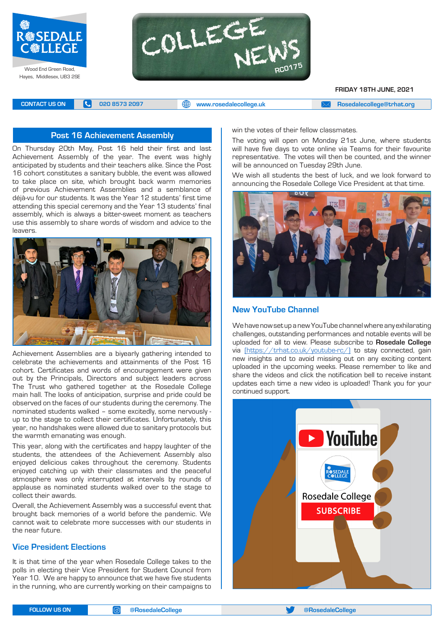



**FRIDAY 18TH JUNE, 2021**

**CONTACT US ON <b>C** 020 8573 2097 **C** 020 8573 2097 **CONTACT US ON EXAM [Rosedalecollege@trhat.org](mailto:Rosedalecollege@trhat.org)** 

# **Post 16 Achievement Assembly** win the votes of their fellow classmates.

On Thursday 20th May, Post 16 held their first and last Achievement Assembly of the year. The event was highly anticipated by students and their teachers alike. Since the Post 16 cohort constitutes a sanitary bubble, the event was allowed to take place on site, which brought back warm memories of previous Achievement Assemblies and a semblance of déjà-vu for our students. It was the Year 12 students' first time attending this special ceremony and the Year 13 students' final assembly, which is always a bitter-sweet moment as teachers use this assembly to share words of wisdom and advice to the leavers.



Achievement Assemblies are a biyearly gathering intended to celebrate the achievements and attainments of the Post 16 cohort. Certificates and words of encouragement were given out by the Principals, Directors and subject leaders across The Trust who gathered together at the Rosedale College main hall. The looks of anticipation, surprise and pride could be observed on the faces of our students during the ceremony. The nominated students walked – some excitedly, some nervously up to the stage to collect their certificates. Unfortunately, this year, no handshakes were allowed due to sanitary protocols but the warmth emanating was enough.

This year, along with the certificates and happy laughter of the students, the attendees of the Achievement Assembly also enjoyed delicious cakes throughout the ceremony. Students enjoyed catching up with their classmates and the peaceful atmosphere was only interrupted at intervals by rounds of applause as nominated students walked over to the stage to collect their awards.

Overall, the Achievement Assembly was a successful event that brought back memories of a world before the pandemic. We cannot wait to celebrate more successes with our students in the near future.

# **Vice President Elections**

It is that time of the year when Rosedale College takes to the polls in electing their Vice President for Student Council from Year 10. We are happy to announce that we have five students in the running, who are currently working on their campaigns to

The voting will open on Monday 21st June, where students will have five days to vote online via Teams for their favourite representative. The votes will then be counted, and the winner will be announced on Tuesday 29th June.

We wish all students the best of luck, and we look forward to announcing the Rosedale College Vice President at that time.



# **New YouTube Channel**

We have now set up a new YouTube channel where any exhilarating challenges, outstanding performances and notable events will be uploaded for all to view. Please subscribe to **Rosedale College** via ([https://trhat.co.uk/youtube-rc/\) to](https://trhat.co.uk/youtube-rc/) stay connected, gain new insights and to avoid missing out on any exciting content uploaded in the upcoming weeks. Please remember to like and share the videos and click the notification bell to receive instant updates each time a new video is uploaded! Thank you for your continued support.